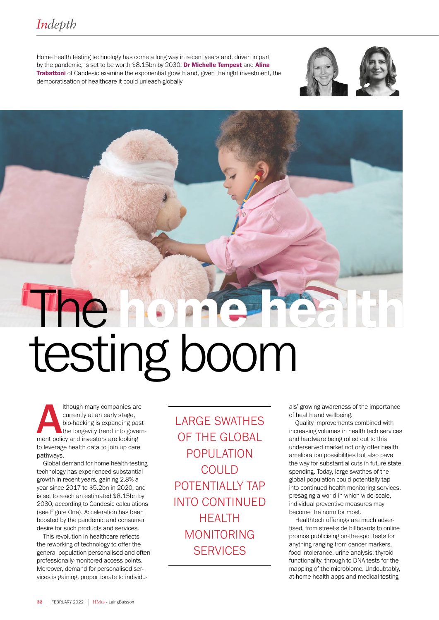Home health testing technology has come a long way in recent years and, driven in part by the pandemic, is set to be worth \$8.15bn by 2030. Dr Michelle Tempest and Alina Trabattoni of Candesic examine the exponential growth and, given the right investment, the democratisation of healthcare it could unleash globally





# The **home has**<br>testing boom

Ithough many companies are<br>
currently at an early stage,<br>
bio-hacking is expanding past<br>
the longevity trend into govern<br>
ment policy and investors are looking currently at an early stage, bio-hacking is expanding past the longevity trend into governto leverage health data to join up care pathways.

Global demand for home health-testing technology has experienced substantial growth in recent years, gaining 2.8% a year since 2017 to \$5.2bn in 2020, and is set to reach an estimated \$8.15bn by 2030, according to Candesic calculations (see Figure One). Acceleration has been boosted by the pandemic and consumer desire for such products and services.

This revolution in healthcare reflects the reworking of technology to offer the general population personalised and often professionally-monitored access points. Moreover, demand for personalised services is gaining, proportionate to individu-

LARGE SWATHES OF THE GLOBAL POPULATION COULD POTENTIALLY TAP INTO CONTINUED HEALTH MONITORING **SERVICES** 

als' growing awareness of the importance of health and wellbeing.

Quality improvements combined with increasing volumes in health tech services and hardware being rolled out to this underserved market not only offer health amelioration possibilities but also pave the way for substantial cuts in future state spending. Today, large swathes of the global population could potentially tap into continued health monitoring services, presaging a world in which wide-scale, individual preventive measures may become the norm for most.

Healthtech offerings are much advertised, from street-side billboards to online promos publicising on-the-spot tests for anything ranging from cancer markers, food intolerance, urine analysis, thyroid functionality, through to DNA tests for the mapping of the microbiome. Undoubtably, at-home health apps and medical testing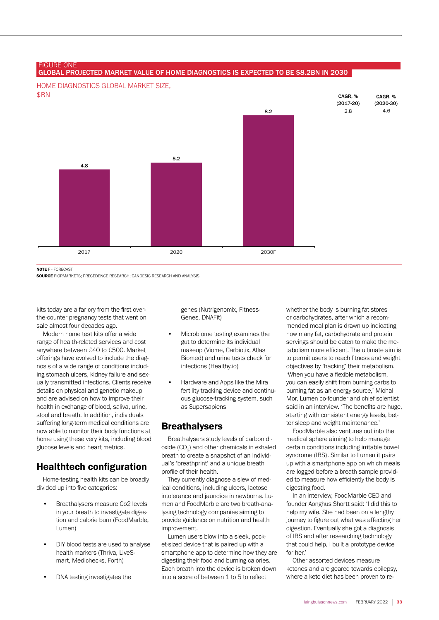### GLOBAL PROJECTED MARKET VALUE OF HOME DIAGNOSTICS IS EXPECTED TO BE \$8.2BN IN 2030

HOME DIAGNOSTICS GLOBAL MARKET SIZE, \$BN



NOTE F - FORECAST

**FIGURE ONE** 

SOURCE FIORMARKETS; PRECEDENCE RESEARCH; CANDESIC RESEARCH AND ANALYSIS

kits today are a far cry from the first overthe-counter pregnancy tests that went on sale almost four decades ago.

Modern home test kits offer a wide range of health-related services and cost anywhere between £40 to £500. Market offerings have evolved to include the diagnosis of a wide range of conditions including stomach ulcers, kidney failure and sexually transmitted infections. Clients receive details on physical and genetic makeup and are advised on how to improve their health in exchange of blood, saliva, urine, stool and breath. In addition, individuals suffering long-term medical conditions are now able to monitor their body functions at home using these very kits, including blood glucose levels and heart metrics.

# Healthtech configuration

Home-testing health kits can be broadly divided up into five categories:

- Breathalysers measure Co2 levels in your breath to investigate digestion and calorie burn (FoodMarble, Lumen)
- DIY blood tests are used to analyse health markers (Thriva, LiveSmart, Medichecks, Forth)
- DNA testing investigates the

genes (Nutrigenomix, Fitness-Genes, DNAFit)

- Microbiome testing examines the gut to determine its individual makeup (Viome, Carbiotix, Atlas Biomed) and urine tests check for infections (Healthy.io)
- Hardware and Apps like the Mira fertility tracking device and continuous glucose-tracking system, such as Supersapiens

### **Breathalysers**

Breathalysers study levels of carbon dioxide  $(CO_2)$  and other chemicals in exhaled breath to create a snapshot of an individual's 'breathprint' and a unique breath profile of their health.

They currently diagnose a slew of medical conditions, including ulcers, lactose intolerance and jaundice in newborns. Lumen and FoodMarble are two breath-analysing technology companies aiming to provide guidance on nutrition and health improvement.

Lumen users blow into a sleek, pocket-sized device that is paired up with a smartphone app to determine how they are digesting their food and burning calories. Each breath into the device is broken down into a score of between 1 to 5 to reflect

whether the body is burning fat stores or carbohydrates, after which a recommended meal plan is drawn up indicating how many fat, carbohydrate and protein servings should be eaten to make the metabolism more efficient. The ultimate aim is to permit users to reach fitness and weight objectives by 'hacking' their metabolism. 'When you have a flexible metabolism, you can easily shift from burning carbs to burning fat as an energy source,' Michal Mor, Lumen co-founder and chief scientist said in an interview. 'The benefits are huge, starting with consistent energy levels, better sleep and weight maintenance.'

FoodMarble also ventures out into the medical sphere aiming to help manage certain conditions including irritable bowel syndrome (IBS). Similar to Lumen it pairs up with a smartphone app on which meals are logged before a breath sample provided to measure how efficiently the body is digesting food.

In an interview, FoodMarble CEO and founder Aonghus Shortt said: 'I did this to help my wife. She had been on a lengthy journey to figure out what was affecting her digestion. Eventually she got a diagnosis of IBS and after researching technology that could help, I built a prototype device for her.'

Other assorted devices measure ketones and are geared towards epilepsy, where a keto diet has been proven to re-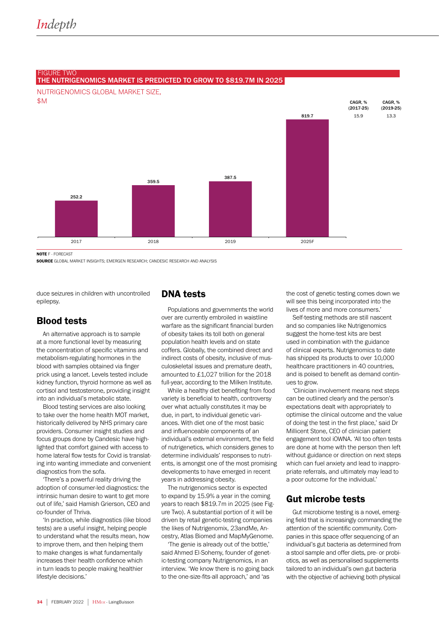

### FIGURE TWO THE NUTRIGENOMICS MARKET IS PREDICTED TO GROW TO \$819.7M IN 2025

NOTE F - FORECAST

SOURCE GLOBAL MARKET INSIGHTS; EMERGEN RESEARCH; CANDESIC RESEARCH AND ANALYSIS

duce seizures in children with uncontrolled epilepsy.

# Blood tests

An alternative approach is to sample at a more functional level by measuring the concentration of specific vitamins and metabolism-regulating hormones in the blood with samples obtained via finger prick using a lancet. Levels tested include kidney function, thyroid hormone as well as cortisol and testosterone, providing insight into an individual's metabolic state.

Blood testing services are also looking to take over the home health MOT market, historically delivered by NHS primary care providers. Consumer insight studies and focus groups done by Candesic have highlighted that comfort gained with access to home lateral flow tests for Covid is translating into wanting immediate and convenient diagnostics from the sofa.

'There's a powerful reality driving the adoption of consumer-led diagnostics: the intrinsic human desire to want to get more out of life,' said Hamish Grierson, CEO and co-founder of Thriva.

'In practice, while diagnostics (like blood tests) are a useful insight, helping people to understand what the results mean, how to improve them, and then helping them to make changes is what fundamentally increases their health confidence which in turn leads to people making healthier lifestyle decisions.'

### DNA tests

Populations and governments the world over are currently embroiled in waistline warfare as the significant financial burden of obesity takes its toll both on general population health levels and on state coffers. Globally, the combined direct and indirect costs of obesity, inclusive of musculoskeletal issues and premature death, amounted to £1,027 trillion for the 2018 full-year, according to the Milken Institute.

While a healthy diet benefiting from food variety is beneficial to health, controversy over what actually constitutes it may be due, in part, to individual genetic variances. With diet one of the most basic and influenceable components of an individual's external environment, the field of nutrigenetics, which considers genes to determine individuals' responses to nutrients, is amongst one of the most promising developments to have emerged in recent years in addressing obesity.

The nutrigenomics sector is expected to expand by 15.9% a year in the coming years to reach \$819.7m in 2025 (see Figure Two). A substantial portion of it will be driven by retail genetic-testing companies the likes of Nutrigenomix, 23andMe, Ancestry, Atlas Biomed and MapMyGenome.

'The genie is already out of the bottle,' said Ahmed El-Sohemy, founder of genetic-testing company Nutrigenomics, in an interview. 'We know there is no going back to the one-size-fits-all approach,' and 'as

the cost of genetic testing comes down we will see this being incorporated into the lives of more and more consumers.'

Self-testing methods are still nascent and so companies like Nutrigenomics suggest the home-test kits are best used in combination with the guidance of clinical experts. Nutrigenomics to date has shipped its products to over 10,000 healthcare practitioners in 40 countries, and is poised to benefit as demand continues to grow.

'Clinician involvement means next steps can be outlined clearly and the person's expectations dealt with appropriately to optimise the clinical outcome and the value of doing the test in the first place,' said Dr Millicent Stone, CEO of clinician patient engagement tool iOWNA. 'All too often tests are done at home with the person then left without guidance or direction on next steps which can fuel anxiety and lead to inappropriate referrals, and ultimately may lead to a poor outcome for the individual.'

# Gut microbe tests

Gut microbiome testing is a novel, emerging field that is increasingly commanding the attention of the scientific community. Companies in this space offer sequencing of an individual's gut bacteria as determined from a stool sample and offer diets, pre- or probiotics, as well as personalised supplements tailored to an individual's own gut bacteria with the objective of achieving both physical